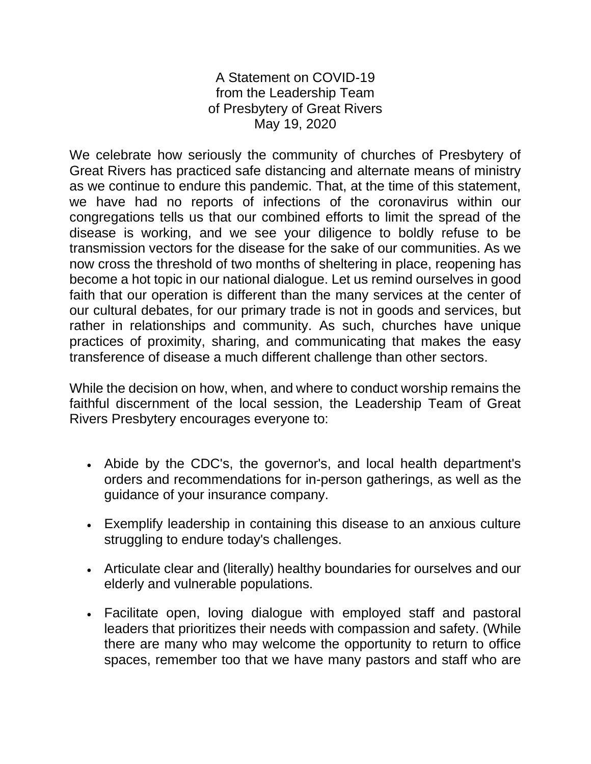A Statement on COVID-19 from the Leadership Team of Presbytery of Great Rivers May 19, 2020

We celebrate how seriously the community of churches of Presbytery of Great Rivers has practiced safe distancing and alternate means of ministry as we continue to endure this pandemic. That, at the time of this statement, we have had no reports of infections of the coronavirus within our congregations tells us that our combined efforts to limit the spread of the disease is working, and we see your diligence to boldly refuse to be transmission vectors for the disease for the sake of our communities. As we now cross the threshold of two months of sheltering in place, reopening has become a hot topic in our national dialogue. Let us remind ourselves in good faith that our operation is different than the many services at the center of our cultural debates, for our primary trade is not in goods and services, but rather in relationships and community. As such, churches have unique practices of proximity, sharing, and communicating that makes the easy transference of disease a much different challenge than other sectors.

While the decision on how, when, and where to conduct worship remains the faithful discernment of the local session, the Leadership Team of Great Rivers Presbytery encourages everyone to:

- Abide by the CDC's, the governor's, and local health department's orders and recommendations for in-person gatherings, as well as the guidance of your insurance company.
- Exemplify leadership in containing this disease to an anxious culture struggling to endure today's challenges.
- Articulate clear and (literally) healthy boundaries for ourselves and our elderly and vulnerable populations.
- Facilitate open, loving dialogue with employed staff and pastoral leaders that prioritizes their needs with compassion and safety. (While there are many who may welcome the opportunity to return to office spaces, remember too that we have many pastors and staff who are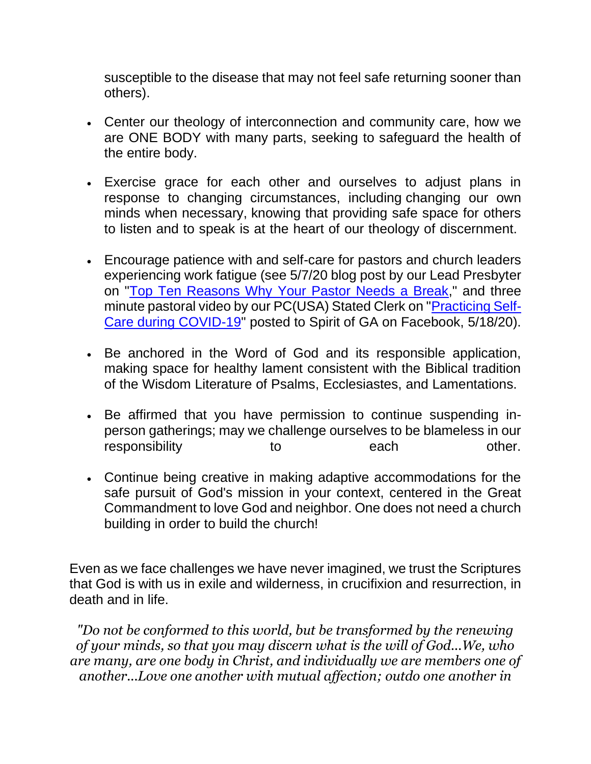susceptible to the disease that may not feel safe returning sooner than others).

- Center our theology of interconnection and community care, how we are ONE BODY with many parts, seeking to safeguard the health of the entire body.
- Exercise grace for each other and ourselves to adjust plans in response to changing circumstances, including changing our own minds when necessary, knowing that providing safe space for others to listen and to speak is at the heart of our theology of discernment.
- Encourage patience with and self-care for pastors and church leaders experiencing work fatigue (see 5/7/20 blog post by our Lead Presbyter on ["Top Ten Reasons Why Your Pastor Needs a Break,](https://sixtysecondpreacher.wordpress.com/2020/05/07/top-ten-reasons-why-your-pastor-may-need-a-break-a-special-message-for-clerks-of-sessions-and-elders/?fbclid=IwAR3wm4QSzUYGRtq9cftxPyYUa10alcBCHCEfD4mvRAq6TUhBp_qfbbKqm8M)" and three minute pastoral video by our PC(USA) Stated Clerk on ["Practicing Self-](https://www.facebook.com/spiritofga/videos/168815087901397/)[Care during COVID-19"](https://www.facebook.com/spiritofga/videos/168815087901397/) posted to Spirit of GA on Facebook, 5/18/20).
- Be anchored in the Word of God and its responsible application, making space for healthy lament consistent with the Biblical tradition of the Wisdom Literature of Psalms, Ecclesiastes, and Lamentations.
- Be affirmed that you have permission to continue suspending inperson gatherings; may we challenge ourselves to be blameless in our responsibility to to each other.
- Continue being creative in making adaptive accommodations for the safe pursuit of God's mission in your context, centered in the Great Commandment to love God and neighbor. One does not need a church building in order to build the church!

Even as we face challenges we have never imagined, we trust the Scriptures that God is with us in exile and wilderness, in crucifixion and resurrection, in death and in life.

*"Do not be conformed to this world, but be transformed by the renewing of your minds, so that you may discern what is the will of God...We, who are many, are one body in Christ, and individually we are members one of another...Love one another with mutual affection; outdo one another in*